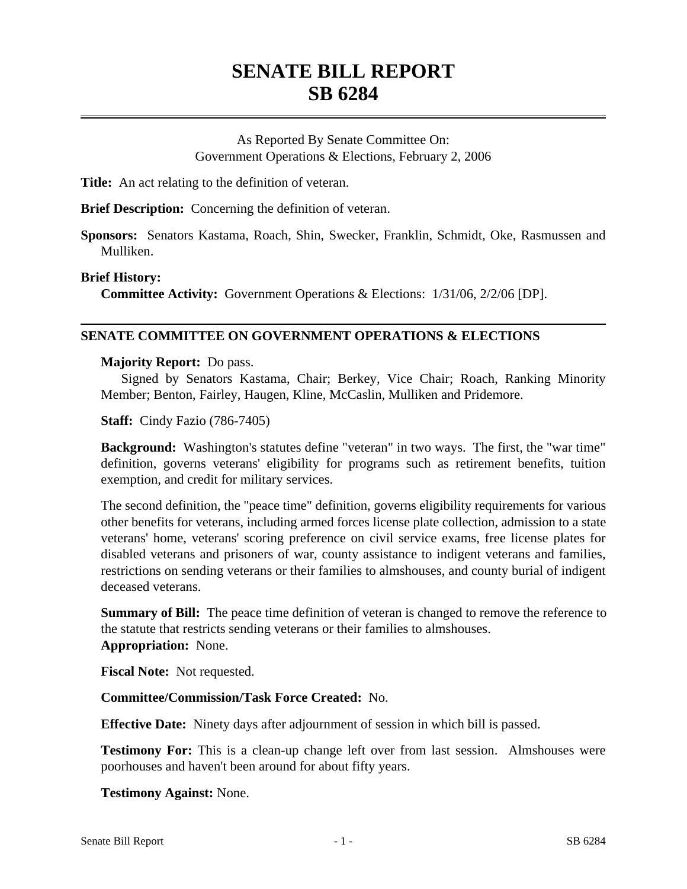# **SENATE BILL REPORT SB 6284**

As Reported By Senate Committee On: Government Operations & Elections, February 2, 2006

**Title:** An act relating to the definition of veteran.

**Brief Description:** Concerning the definition of veteran.

**Sponsors:** Senators Kastama, Roach, Shin, Swecker, Franklin, Schmidt, Oke, Rasmussen and Mulliken.

### **Brief History:**

**Committee Activity:** Government Operations & Elections: 1/31/06, 2/2/06 [DP].

# **SENATE COMMITTEE ON GOVERNMENT OPERATIONS & ELECTIONS**

### **Majority Report:** Do pass.

Signed by Senators Kastama, Chair; Berkey, Vice Chair; Roach, Ranking Minority Member; Benton, Fairley, Haugen, Kline, McCaslin, Mulliken and Pridemore.

**Staff:** Cindy Fazio (786-7405)

**Background:** Washington's statutes define "veteran" in two ways. The first, the "war time" definition, governs veterans' eligibility for programs such as retirement benefits, tuition exemption, and credit for military services.

The second definition, the "peace time" definition, governs eligibility requirements for various other benefits for veterans, including armed forces license plate collection, admission to a state veterans' home, veterans' scoring preference on civil service exams, free license plates for disabled veterans and prisoners of war, county assistance to indigent veterans and families, restrictions on sending veterans or their families to almshouses, and county burial of indigent deceased veterans.

**Summary of Bill:** The peace time definition of veteran is changed to remove the reference to the statute that restricts sending veterans or their families to almshouses. **Appropriation:** None.

**Fiscal Note:** Not requested.

# **Committee/Commission/Task Force Created:** No.

**Effective Date:** Ninety days after adjournment of session in which bill is passed.

**Testimony For:** This is a clean-up change left over from last session. Almshouses were poorhouses and haven't been around for about fifty years.

**Testimony Against:** None.